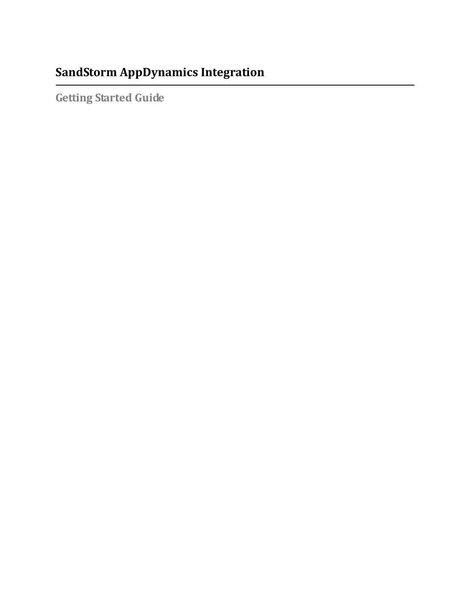# **SandStorm AppDynamics Integration**

**Getting Started Guide**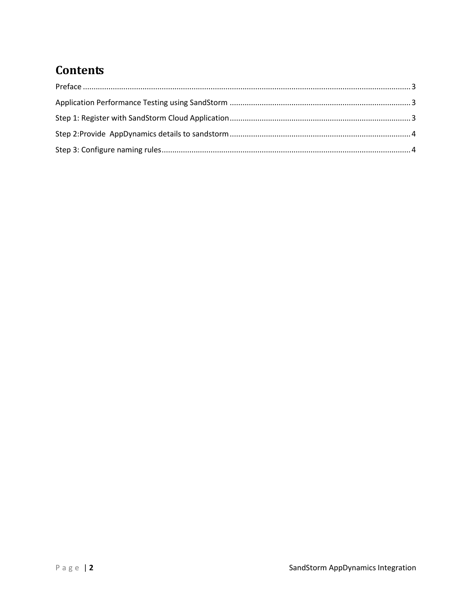## **Contents**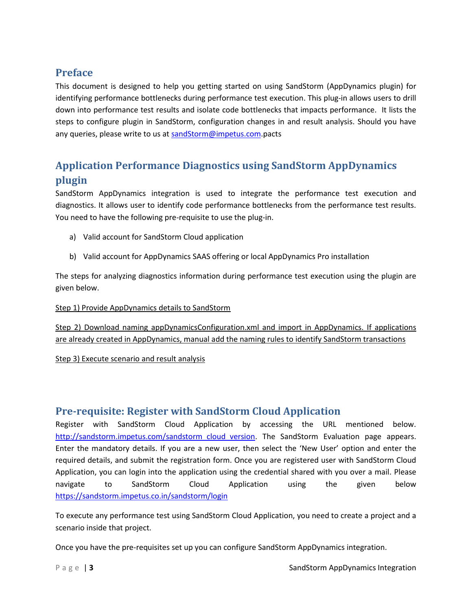### <span id="page-2-0"></span>**Preface**

This document is designed to help you getting started on using SandStorm (AppDynamics plugin) for identifying performance bottlenecks during performance test execution. This plug-in allows users to drill down into performance test results and isolate code bottlenecks that impacts performance. It lists the steps to configure plugin in SandStorm, configuration changes in and result analysis. Should you have any queries, please write to us at [sandStorm@impetus.com.](mailto:sandStorm@impetus.com)pacts

## <span id="page-2-1"></span>**Application Performance Diagnostics using SandStorm AppDynamics plugin**

SandStorm AppDynamics integration is used to integrate the performance test execution and diagnostics. It allows user to identify code performance bottlenecks from the performance test results. You need to have the following pre-requisite to use the plug-in.

- a) Valid account for SandStorm Cloud application
- b) Valid account for AppDynamics SAAS offering or local AppDynamics Pro installation

The steps for analyzing diagnostics information during performance test execution using the plugin are given below.

### Step 1) Provide AppDynamics details to SandStorm

Step 2) Download naming appDynamicsConfiguration.xml and import in AppDynamics. If applications are already created in AppDynamics, manual add the naming rules to identify SandStorm transactions

### Step 3) Execute scenario and result analysis

### <span id="page-2-2"></span>**Pre-requisite: Register with SandStorm Cloud Application**

Register with SandStorm Cloud Application by accessing the URL mentioned below. [http://sandstorm.impetus.com/sandstorm\\_cloud\\_version.](http://sandstorm.impetus.com/sandstorm_cloud_version) The SandStorm Evaluation page appears. Enter the mandatory details. If you are a new user, then select the 'New User' option and enter the required details, and submit the registration form. Once you are registered user with SandStorm Cloud Application, you can login into the application using the credential shared with you over a mail. Please navigate to SandStorm Cloud Application using the given below <https://sandstorm.impetus.co.in/sandstorm/login>

To execute any performance test using SandStorm Cloud Application, you need to create a project and a scenario inside that project.

Once you have the pre-requisites set up you can configure SandStorm AppDynamics integration.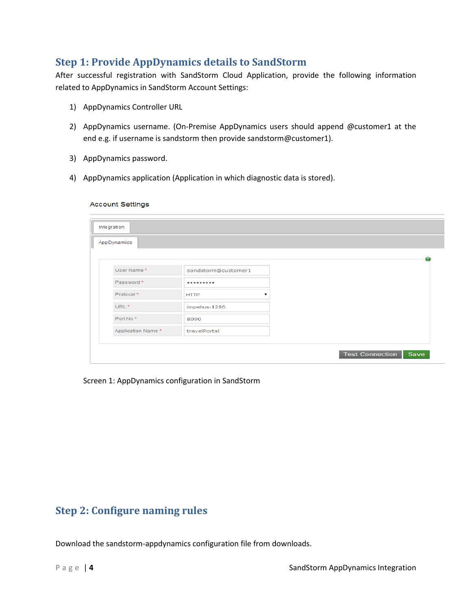### <span id="page-3-0"></span>**Step 1: Provide AppDynamics details to SandStorm**

After successful registration with SandStorm Cloud Application, provide the following information related to AppDynamics in SandStorm Account Settings:

- 1) AppDynamics Controller URL
- 2) AppDynamics username. (On-Premise AppDynamics users should append @customer1 at the end e.g. if username is sandstorm then provide sandstorm@customer1).
- 3) AppDynamics password.
- 4) AppDynamics application (Application in which diagnostic data is stored).

#### **Account Settings**

| Integration       |                     |  |  |                        |      |
|-------------------|---------------------|--|--|------------------------|------|
| AppDynamics       |                     |  |  |                        |      |
|                   |                     |  |  |                        | -71  |
| User Name*        | sandstorm@customer1 |  |  |                        |      |
| Password*         |                     |  |  |                        |      |
| Protocol*         | <b>HTTP</b><br>▼    |  |  |                        |      |
| URL <sup>*</sup>  | impetus-1286        |  |  |                        |      |
| Port No*          | 8090                |  |  |                        |      |
| Application Name* | travelPortal        |  |  |                        |      |
|                   |                     |  |  | <b>Test Connection</b> | Save |

Screen 1: AppDynamics configuration in SandStorm

### <span id="page-3-1"></span>**Step 2: Configure naming rules**

Download the sandstorm-appdynamics configuration file from downloads.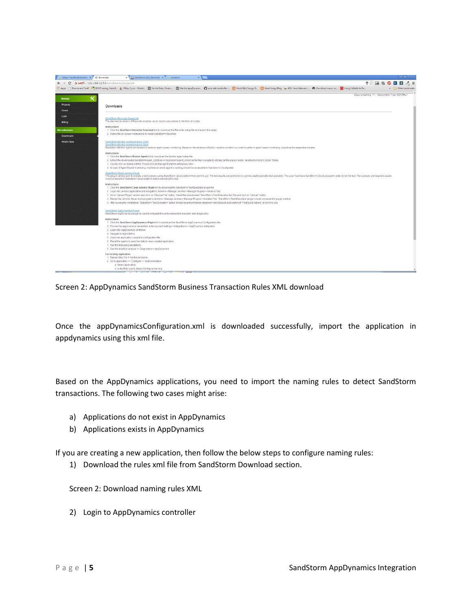

Screen 2: AppDynamics SandStorm Business Transaction Rules XML download

Once the appDynamicsConfiguration.xml is downloaded successfully, import the application in appdynamics using this xml file.

Based on the AppDynamics applications, you need to import the naming rules to detect SandStorm transactions. The following two cases might arise:

- a) Applications do not exist in AppDynamics
- b) Applications exists in AppDynamics

If you are creating a new application, then follow the below steps to configure naming rules:

1) Download the rules xml file from SandStorm Download section.

Screen 2: Download naming rules XML

2) Login to AppDynamics controller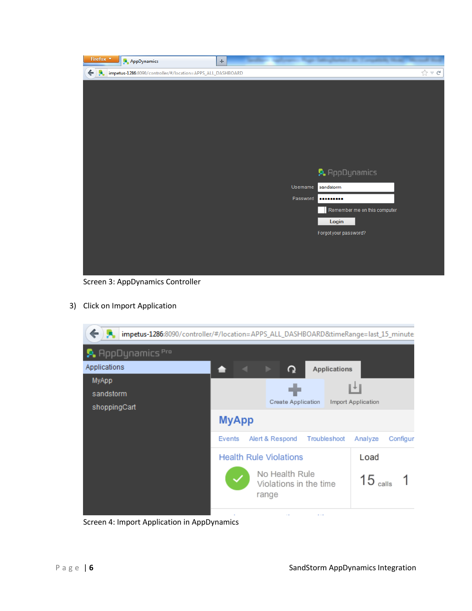| Firefox $\sqrt{*}$ | <b>AppDynamics</b>                                         | ÷ |          |                              |                                                    |
|--------------------|------------------------------------------------------------|---|----------|------------------------------|----------------------------------------------------|
| $\leftarrow$ ).    | impetus-1286:8090/controller/#/location=APPS_ALL_DASHBOARD |   |          |                              | $\frac{1}{\left  \mathcal{L} \right }$ $\forall$ C |
|                    |                                                            |   |          |                              |                                                    |
|                    |                                                            |   |          |                              |                                                    |
|                    |                                                            |   |          |                              |                                                    |
|                    |                                                            |   |          |                              |                                                    |
|                    |                                                            |   |          |                              |                                                    |
|                    |                                                            |   |          |                              |                                                    |
|                    |                                                            |   |          |                              |                                                    |
|                    |                                                            |   |          | <b>A.</b> AppDynamics        |                                                    |
|                    |                                                            |   | Username | sandstorm                    |                                                    |
|                    |                                                            |   | Password |                              |                                                    |
|                    |                                                            |   |          | Remember me on this computer |                                                    |
|                    |                                                            |   |          | Login                        |                                                    |
|                    |                                                            |   |          | Forgot your password?        |                                                    |
|                    |                                                            |   |          |                              |                                                    |
|                    |                                                            |   |          |                              |                                                    |
|                    |                                                            |   |          |                              |                                                    |

Screen 3: AppDynamics Controller

3) Click on Import Application



Screen 4: Import Application in AppDynamics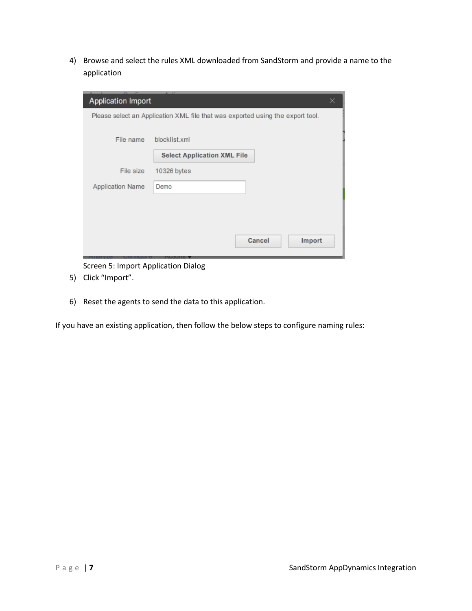4) Browse and select the rules XML downloaded from SandStorm and provide a name to the application

| <b>Application Import</b>                                                      | $\overline{a}$ $\overline{a}$      | × |  |  |  |  |  |  |
|--------------------------------------------------------------------------------|------------------------------------|---|--|--|--|--|--|--|
| Please select an Application XML file that was exported using the export tool. |                                    |   |  |  |  |  |  |  |
| File name                                                                      | blocklist.xml                      |   |  |  |  |  |  |  |
|                                                                                | <b>Select Application XML File</b> |   |  |  |  |  |  |  |
| File size                                                                      | 10326 bytes                        |   |  |  |  |  |  |  |
| Application Name                                                               | Demo                               |   |  |  |  |  |  |  |
|                                                                                |                                    |   |  |  |  |  |  |  |
|                                                                                |                                    |   |  |  |  |  |  |  |
|                                                                                | Cancel<br>Import                   |   |  |  |  |  |  |  |

Screen 5: Import Application Dialog

- 5) Click "Import".
- 6) Reset the agents to send the data to this application.

If you have an existing application, then follow the below steps to configure naming rules: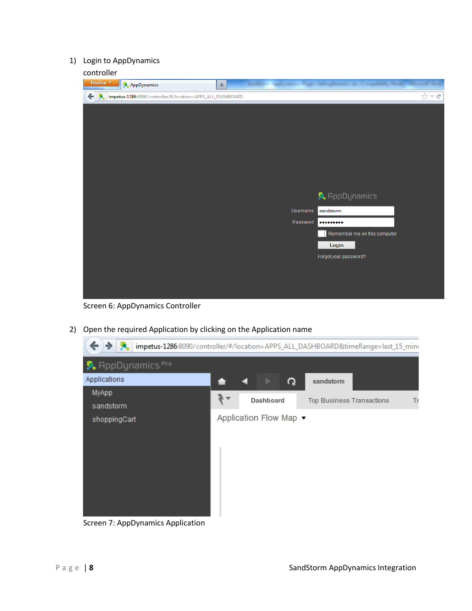### 1) Login to AppDynamics

| .<br>Firefox <b>v</b> | AppDynamics                                                | ÷. |          |                              |                          |
|-----------------------|------------------------------------------------------------|----|----------|------------------------------|--------------------------|
| $\leftarrow$ ).       | impetus-1286:8090/controller/#/location=APPS_ALL_DASHBOARD |    |          |                              | $\frac{1}{11}$ $\vee$ C' |
|                       |                                                            |    |          |                              |                          |
|                       |                                                            |    |          |                              |                          |
|                       |                                                            |    |          |                              |                          |
|                       |                                                            |    |          |                              |                          |
|                       |                                                            |    |          |                              |                          |
|                       |                                                            |    |          |                              |                          |
|                       |                                                            |    |          |                              |                          |
|                       |                                                            |    |          | <b>A</b> AppDynamics         |                          |
|                       |                                                            |    | Username | sandstorm                    |                          |
|                       |                                                            |    | Password |                              |                          |
|                       |                                                            |    |          | Remember me on this computer |                          |
|                       |                                                            |    |          | Login                        |                          |
|                       |                                                            |    |          | Forgot your password?        |                          |
|                       |                                                            |    |          |                              |                          |
|                       |                                                            |    |          |                              |                          |
|                       |                                                            |    |          |                              |                          |

Screen 6: AppDynamics Controller

2) Open the required Application by clicking on the Application name

| ←<br>⇒                             |                        |           |   | impetus-1286:8090/controller/#/location=APPS_ALL_DASHBOARD&timeRange=last_15_mini |    |
|------------------------------------|------------------------|-----------|---|-----------------------------------------------------------------------------------|----|
| <b>A.</b> AppDynamics Pro          |                        |           |   |                                                                                   |    |
| Applications                       |                        |           | ൨ | sandstorm                                                                         |    |
| MyApp<br>sandstorm                 | ▼                      | Dashboard |   | Top Business Transactions                                                         | Tr |
| shoppingCart                       | Application Flow Map ▼ |           |   |                                                                                   |    |
|                                    |                        |           |   |                                                                                   |    |
|                                    |                        |           |   |                                                                                   |    |
|                                    |                        |           |   |                                                                                   |    |
|                                    |                        |           |   |                                                                                   |    |
| Causan 7. AnnDusanaise Annliastian |                        |           |   |                                                                                   |    |

Screen 7: AppDynamics Application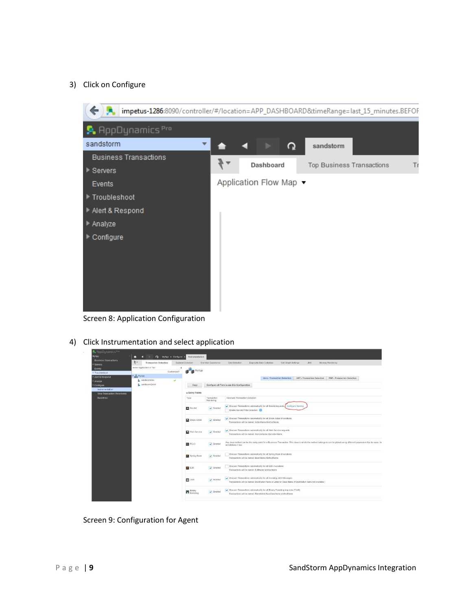#### 3) Click on Configure



Screen 8: Application Configuration

4) Click Instrumentation and select application

| A RopDynamics <sup>pro</sup> |                                       |                          |                 |                               |                                                                                                                                                                         |  |  |  |  |
|------------------------------|---------------------------------------|--------------------------|-----------------|-------------------------------|-------------------------------------------------------------------------------------------------------------------------------------------------------------------------|--|--|--|--|
| MyApp                        | ۰<br>n<br>$\Omega$                    | MyApp + Configure +      | Instrumentation |                               |                                                                                                                                                                         |  |  |  |  |
| <b>Business Transactions</b> | $3 -$<br><b>Transaction Detection</b> | <b>Backend Detection</b> |                 | End User Experience           | Diagnostic Data Collectors<br>Error Detection<br>Call Graph Settings<br><b>JMX</b><br>Memory Monitoring                                                                 |  |  |  |  |
| Servers                      |                                       |                          |                 |                               |                                                                                                                                                                         |  |  |  |  |
| Events                       | Select Application or Tier            |                          | <b>NADD</b>     |                               |                                                                                                                                                                         |  |  |  |  |
| > Troubleshoot               |                                       | Customized?              |                 |                               |                                                                                                                                                                         |  |  |  |  |
| > Alert & Respond            | <b>B</b> MyApp                        |                          |                 |                               | <b>PHP - Transaction Detection</b><br>Java - Transaction Detection<br>.NET - Transaction Detection                                                                      |  |  |  |  |
| * Analyze                    | sandstornDev                          | $\omega$                 |                 |                               |                                                                                                                                                                         |  |  |  |  |
| * Configure                  | sandstormQA64                         |                          | Copy            |                               | Configure all Tiers to use this Configuration                                                                                                                           |  |  |  |  |
| Instrumentation              |                                       |                          |                 |                               |                                                                                                                                                                         |  |  |  |  |
| Slow Transaction Thresholds  |                                       |                          | · Entry Points  |                               |                                                                                                                                                                         |  |  |  |  |
| Baselines                    |                                       |                          | Туре            | Transaction<br>Monitoring     | Automatic Transaction Detection                                                                                                                                         |  |  |  |  |
|                              |                                       |                          |                 |                               |                                                                                                                                                                         |  |  |  |  |
|                              |                                       |                          | Servict         | $\blacktriangleright$ Enabled | Ciscover Transactions automatically for all Serviet requests Configure Naming<br>Enable Serviet Filter Detection                                                        |  |  |  |  |
|                              |                                       |                          |                 |                               |                                                                                                                                                                         |  |  |  |  |
|                              |                                       |                          |                 |                               | Ciscover Transactions automatically for all Struts Action invocations.                                                                                                  |  |  |  |  |
|                              |                                       |                          | Struts Action   | $\blacktriangleright$ Enabled | Transactions will be named: ActionName.MethodName                                                                                                                       |  |  |  |  |
|                              |                                       |                          |                 |                               |                                                                                                                                                                         |  |  |  |  |
|                              |                                       |                          | Web Service     | $\checkmark$ Enabled          | Discover Transactions automatically for all Web Service requests                                                                                                        |  |  |  |  |
|                              |                                       |                          |                 |                               | Transactions will be named: ServiceName.OperationName                                                                                                                   |  |  |  |  |
|                              |                                       |                          |                 |                               | Any Java method can be the entry point for a Business Transaction. The class to which the method belongs to can be picked using different parameters like its name, its |  |  |  |  |
|                              |                                       |                          | <b>B</b> POJO   | $\sqrt{ }$ Enabled            | ponotations it has.                                                                                                                                                     |  |  |  |  |
|                              |                                       |                          |                 |                               | Discover Transactions automatically for all Spring Bean invocations                                                                                                     |  |  |  |  |
|                              |                                       |                          | Spring Bean     | $\blacktriangleright$ Enabled | Transactions will be named: BeanName MethodName                                                                                                                         |  |  |  |  |
|                              |                                       |                          |                 |                               |                                                                                                                                                                         |  |  |  |  |
|                              |                                       |                          | 0.38            | $\sqrt{2}$ Enabled            | Discover Transactions automatically for all EJB invocations                                                                                                             |  |  |  |  |
|                              |                                       |                          |                 |                               | Transactions will be named: EJBName.MethodName.                                                                                                                         |  |  |  |  |
|                              |                                       |                          |                 |                               | Ciscover Transactions automatically for all incoming JMS Messages                                                                                                       |  |  |  |  |
|                              |                                       |                          | <b>EZ</b> JMS   | $\blacktriangleright$ Enabled | Transactions will be named: Destination Name or Listener Class Name (if Destination Name not available )                                                                |  |  |  |  |
|                              |                                       |                          |                 |                               | Ciscover Transactions automatically for all Binary Renoting requests (Thrift)                                                                                           |  |  |  |  |
|                              |                                       |                          | <b>Binary</b>   | $\sqrt{ }$ Enabled            | Transactions will be named: RemoteInterfaceClassName.methodName.                                                                                                        |  |  |  |  |
|                              |                                       |                          |                 |                               |                                                                                                                                                                         |  |  |  |  |

Screen 9: Configuration for Agent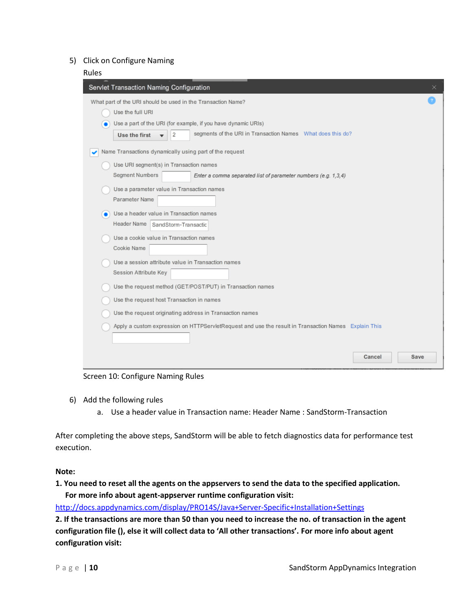#### 5) Click on Configure Naming

| Rules                                                                                                |      |
|------------------------------------------------------------------------------------------------------|------|
| Servlet Transaction Naming Configuration                                                             | ×    |
| What part of the URI should be used in the Transaction Name?                                         |      |
| Use the full URI                                                                                     |      |
| Use a part of the URI (for example, if you have dynamic URIs)<br>۰                                   |      |
| segments of the URI in Transaction Names What does this do?<br>Use the first<br>2                    |      |
| Name Transactions dynamically using part of the request                                              |      |
| Use URI segment(s) in Transaction names                                                              |      |
| Segment Numbers<br>Enter a comma separated list of parameter numbers (e.g. 1,3,4)                    |      |
| Use a parameter value in Transaction names                                                           |      |
| Parameter Name                                                                                       |      |
| Use a header value in Transaction names<br>٠                                                         |      |
| Header Name<br>SandStorm-Transactic                                                                  |      |
| Use a cookie value in Transaction names                                                              |      |
| Cookie Name                                                                                          |      |
| Use a session attribute value in Transaction names                                                   |      |
| Session Attribute Key                                                                                |      |
| Use the request method (GET/POST/PUT) in Transaction names                                           |      |
| Use the request host Transaction in names                                                            |      |
| Use the request originating address in Transaction names                                             |      |
| Apply a custom expression on HTTPServletRequest and use the result in Transaction Names Explain This |      |
|                                                                                                      |      |
|                                                                                                      |      |
| Cancel                                                                                               | Save |
|                                                                                                      |      |

Screen 10: Configure Naming Rules

- 6) Add the following rules
	- a. Use a header value in Transaction name: Header Name : SandStorm-Transaction

After completing the above steps, SandStorm will be able to fetch diagnostics data for performance test execution.

#### **Note:**

### **1. You need to reset all the agents on the appservers to send the data to the specified application. For more info about agent-appserver runtime configuration visit:**

<http://docs.appdynamics.com/display/PRO14S/Java+Server-Specific+Installation+Settings>

**2. If the transactions are more than 50 than you need to increase the no. of transaction in the agent configuration file (), else it will collect data to 'All other transactions'. For more info about agent configuration visit:**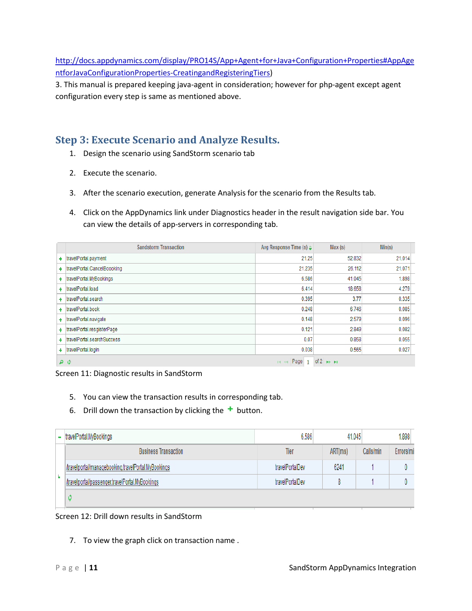[http://docs.appdynamics.com/display/PRO14S/App+Agent+for+Java+Configuration+Properties#AppAge](http://docs.appdynamics.com/display/PRO14S/App+Agent+for+Java+Configuration+Properties#AppAgentforJavaConfigurationProperties-CreatingandRegisteringTiers) [ntforJavaConfigurationProperties-CreatingandRegisteringTiers\)](http://docs.appdynamics.com/display/PRO14S/App+Agent+for+Java+Configuration+Properties#AppAgentforJavaConfigurationProperties-CreatingandRegisteringTiers)

3. This manual is prepared keeping java-agent in consideration; however for php-agent except agent configuration every step is same as mentioned above.

### **Step 3: Execute Scenario and Analyze Results.**

- 1. Design the scenario using SandStorm scenario tab
- 2. Execute the scenario.
- 3. After the scenario execution, generate Analysis for the scenario from the Results tab.
- 4. Click on the AppDynamics link under Diagnostics header in the result navigation side bar. You can view the details of app-servers in corresponding tab.

| <b>Sandstorm Transaction</b>  | Avg Response Time (s) $\div$ | Max(s)                         | Min(s) |
|-------------------------------|------------------------------|--------------------------------|--------|
| + travelPortal.payment        | 21.25                        | 52.832                         | 21.014 |
| + travelPortal.CancelBoooking | 21.235                       | 26.112                         | 21.071 |
| + travelPortal.MyBookings     | 6.586                        | 41.045                         | 1.898  |
| + travelPortal.load           | 6.414                        | 18.658                         | 4.279  |
| + travelPortal.search         | 0.395                        | 3.77                           | 0.335  |
| + travelPortal.book           | 0.248                        | 6.746                          | 0.085  |
| + travelPortal.navigate       | 0.148                        | 2.579                          | 0.096  |
| + travelPortal.resgisterPage  | 0.121                        | 2.849                          | 0.082  |
| + travelPortal.searchSuccess  | 0.07                         | 0.858                          | 0.055  |
| + travelPortal.login          | 0.038                        | 0.565                          | 0.027  |
| ဝ စ                           | Page<br>$14 - 64$            | of $2 \rightarrow \rightarrow$ |        |

Screen 11: Diagnostic results in SandStorm

- 5. You can view the transaction results in corresponding tab.
- 6. Drill down the transaction by clicking the  $+$  button.

|  | - travelPortal.MyBookings                           | 6.586           | 41.045  |           | 1.898     |
|--|-----------------------------------------------------|-----------------|---------|-----------|-----------|
|  | <b>Business Transaction</b>                         | Tier            | ART(ms) | Calls/min | Errors/mi |
|  | /travelportal/managebooking.travelPortal.MyBookings | travelPortalDev | 6241    |           |           |
|  | /travelportal/passenger.travelPortal.MyBookings     | travelPortalDev |         |           |           |
|  |                                                     |                 |         |           |           |

Screen 12: Drill down results in SandStorm

7. To view the graph click on transaction name .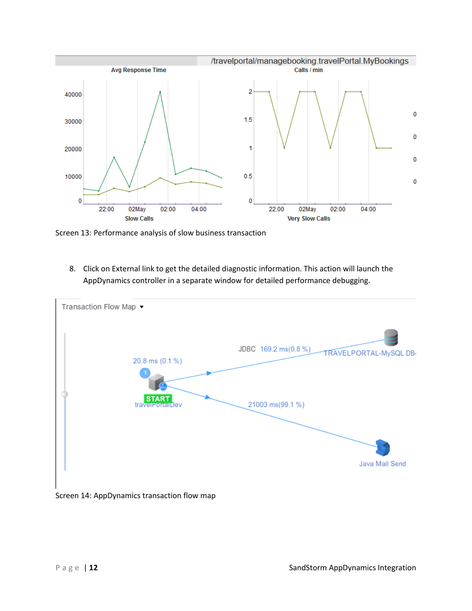

Screen 13: Performance analysis of slow business transaction

8. Click on External link to get the detailed diagnostic information. This action will launch the AppDynamics controller in a separate window for detailed performance debugging.



Screen 14: AppDynamics transaction flow map